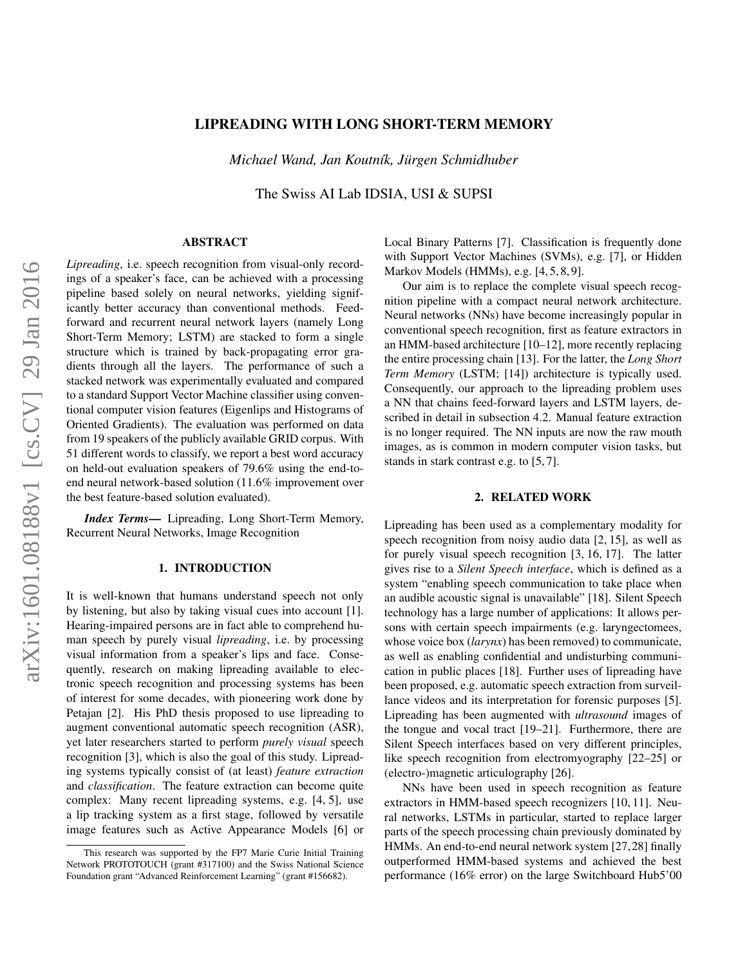# LIPREADING WITH LONG SHORT-TERM MEMORY

*Michael Wand, Jan Koutn´ık, Jurgen Schmidhuber ¨*

The Swiss AI Lab IDSIA, USI & SUPSI

# ABSTRACT

*Lipreading*, i.e. speech recognition from visual-only recordings of a speaker's face, can be achieved with a processing pipeline based solely on neural networks, yielding significantly better accuracy than conventional methods. Feedforward and recurrent neural network layers (namely Long Short-Term Memory; LSTM) are stacked to form a single structure which is trained by back-propagating error gradients through all the layers. The performance of such a stacked network was experimentally evaluated and compared to a standard Support Vector Machine classifier using conventional computer vision features (Eigenlips and Histograms of Oriented Gradients). The evaluation was performed on data from 19 speakers of the publicly available GRID corpus. With 51 different words to classify, we report a best word accuracy on held-out evaluation speakers of 79.6% using the end-toend neural network-based solution (11.6% improvement over the best feature-based solution evaluated).

*Index Terms*— Lipreading, Long Short-Term Memory, Recurrent Neural Networks, Image Recognition

#### 1. INTRODUCTION

It is well-known that humans understand speech not only by listening, but also by taking visual cues into account [\[1\]](#page-3-0). Hearing-impaired persons are in fact able to comprehend human speech by purely visual *lipreading*, i.e. by processing visual information from a speaker's lips and face. Consequently, research on making lipreading available to electronic speech recognition and processing systems has been of interest for some decades, with pioneering work done by Petajan [\[2\]](#page-3-1). His PhD thesis proposed to use lipreading to augment conventional automatic speech recognition (ASR), yet later researchers started to perform *purely visual* speech recognition [\[3\]](#page-3-2), which is also the goal of this study. Lipreading systems typically consist of (at least) *feature extraction* and *classification*. The feature extraction can become quite complex: Many recent lipreading systems, e.g. [\[4,](#page-3-3) [5\]](#page-3-4), use a lip tracking system as a first stage, followed by versatile image features such as Active Appearance Models [\[6\]](#page-3-5) or Local Binary Patterns [\[7\]](#page-3-6). Classification is frequently done with Support Vector Machines (SVMs), e.g. [\[7\]](#page-3-6), or Hidden Markov Models (HMMs), e.g. [\[4,](#page-3-3) [5,](#page-3-4) [8,](#page-3-7) [9\]](#page-3-8).

Our aim is to replace the complete visual speech recognition pipeline with a compact neural network architecture. Neural networks (NNs) have become increasingly popular in conventional speech recognition, first as feature extractors in an HMM-based architecture [\[10](#page-3-9)[–12\]](#page-3-10), more recently replacing the entire processing chain [\[13\]](#page-4-0). For the latter, the *Long Short Term Memory* (LSTM; [\[14\]](#page-4-1)) architecture is typically used. Consequently, our approach to the lipreading problem uses a NN that chains feed-forward layers and LSTM layers, described in detail in [subsection 4.2.](#page-2-0) Manual feature extraction is no longer required. The NN inputs are now the raw mouth images, as is common in modern computer vision tasks, but stands in stark contrast e.g. to [\[5,](#page-3-4) [7\]](#page-3-6).

## 2. RELATED WORK

Lipreading has been used as a complementary modality for speech recognition from noisy audio data [\[2,](#page-3-1) [15\]](#page-4-2), as well as for purely visual speech recognition [\[3,](#page-3-2) [16,](#page-4-3) [17\]](#page-4-4). The latter gives rise to a *Silent Speech interface*, which is defined as a system "enabling speech communication to take place when an audible acoustic signal is unavailable" [\[18\]](#page-4-5). Silent Speech technology has a large number of applications: It allows persons with certain speech impairments (e.g. laryngectomees, whose voice box (*larynx*) has been removed) to communicate, as well as enabling confidential and undisturbing communication in public places [\[18\]](#page-4-5). Further uses of lipreading have been proposed, e.g. automatic speech extraction from surveillance videos and its interpretation for forensic purposes [\[5\]](#page-3-4). Lipreading has been augmented with *ultrasound* images of the tongue and vocal tract [\[19–](#page-4-6)[21\]](#page-4-7). Furthermore, there are Silent Speech interfaces based on very different principles, like speech recognition from electromyography [\[22](#page-4-8)[–25\]](#page-4-9) or (electro-)magnetic articulography [\[26\]](#page-4-10).

NNs have been used in speech recognition as feature extractors in HMM-based speech recognizers [\[10,](#page-3-9) [11\]](#page-3-11). Neural networks, LSTMs in particular, started to replace larger parts of the speech processing chain previously dominated by HMMs. An end-to-end neural network system [\[27,](#page-4-11)[28\]](#page-4-12) finally outperformed HMM-based systems and achieved the best performance (16% error) on the large Switchboard Hub5'00

This research was supported by the FP7 Marie Curie Initial Training Network PROTOTOUCH (grant #317100) and the Swiss National Science Foundation grant "Advanced Reinforcement Learning" (grant #156682).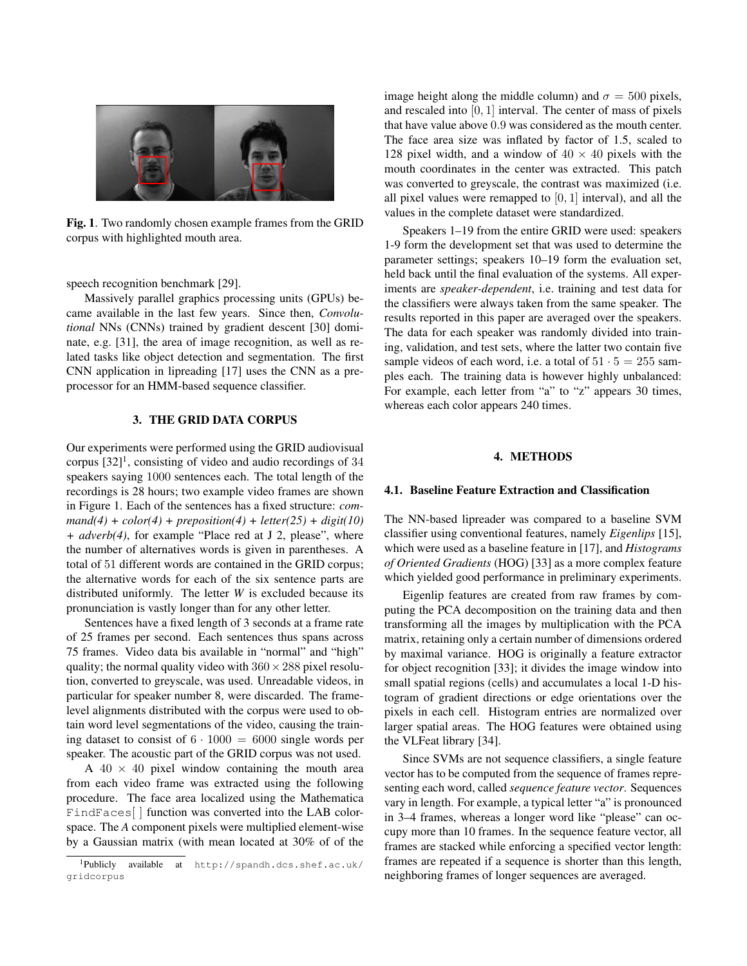

Fig. 1. Two randomly chosen example frames from the GRID corpus with highlighted mouth area.

<span id="page-1-1"></span>speech recognition benchmark [\[29\]](#page-4-13).

Massively parallel graphics processing units (GPUs) became available in the last few years. Since then, *Convolutional* NNs (CNNs) trained by gradient descent [\[30\]](#page-4-14) dominate, e.g. [\[31\]](#page-4-15), the area of image recognition, as well as related tasks like object detection and segmentation. The first CNN application in lipreading [\[17\]](#page-4-4) uses the CNN as a preprocessor for an HMM-based sequence classifier.

## 3. THE GRID DATA CORPUS

Our experiments were performed using the GRID audiovisual corpus  $[32]$ <sup>[1](#page-1-0)</sup>, consisting of video and audio recordings of 34 speakers saying 1000 sentences each. The total length of the recordings is 28 hours; two example video frames are shown in [Figure 1.](#page-1-1) Each of the sentences has a fixed structure: *com* $mand(4) + color(4) + preposition(4) + letter(25) + digit(10)$ *+ adverb(4)*, for example "Place red at J 2, please", where the number of alternatives words is given in parentheses. A total of 51 different words are contained in the GRID corpus; the alternative words for each of the six sentence parts are distributed uniformly. The letter *W* is excluded because its pronunciation is vastly longer than for any other letter.

Sentences have a fixed length of 3 seconds at a frame rate of 25 frames per second. Each sentences thus spans across 75 frames. Video data bis available in "normal" and "high" quality; the normal quality video with  $360 \times 288$  pixel resolution, converted to greyscale, was used. Unreadable videos, in particular for speaker number 8, were discarded. The framelevel alignments distributed with the corpus were used to obtain word level segmentations of the video, causing the training dataset to consist of  $6 \cdot 1000 = 6000$  single words per speaker. The acoustic part of the GRID corpus was not used.

A  $40 \times 40$  pixel window containing the mouth area from each video frame was extracted using the following procedure. The face area localized using the Mathematica FindFaces[ ] function was converted into the LAB colorspace. The *A* component pixels were multiplied element-wise by a Gaussian matrix (with mean located at 30% of of the

image height along the middle column) and  $\sigma = 500$  pixels, and rescaled into [0, 1] interval. The center of mass of pixels that have value above 0.9 was considered as the mouth center. The face area size was inflated by factor of 1.5, scaled to 128 pixel width, and a window of  $40 \times 40$  pixels with the mouth coordinates in the center was extracted. This patch was converted to greyscale, the contrast was maximized (i.e. all pixel values were remapped to  $[0, 1]$  interval), and all the values in the complete dataset were standardized.

Speakers 1–19 from the entire GRID were used: speakers 1-9 form the development set that was used to determine the parameter settings; speakers 10–19 form the evaluation set, held back until the final evaluation of the systems. All experiments are *speaker-dependent*, i.e. training and test data for the classifiers were always taken from the same speaker. The results reported in this paper are averaged over the speakers. The data for each speaker was randomly divided into training, validation, and test sets, where the latter two contain five sample videos of each word, i.e. a total of  $51 \cdot 5 = 255$  samples each. The training data is however highly unbalanced: For example, each letter from "a" to "z" appears 30 times, whereas each color appears 240 times.

### 4. METHODS

### 4.1. Baseline Feature Extraction and Classification

The NN-based lipreader was compared to a baseline SVM classifier using conventional features, namely *Eigenlips* [\[15\]](#page-4-2), which were used as a baseline feature in [\[17\]](#page-4-4), and *Histograms of Oriented Gradients* (HOG) [\[33\]](#page-4-17) as a more complex feature which yielded good performance in preliminary experiments.

Eigenlip features are created from raw frames by computing the PCA decomposition on the training data and then transforming all the images by multiplication with the PCA matrix, retaining only a certain number of dimensions ordered by maximal variance. HOG is originally a feature extractor for object recognition [\[33\]](#page-4-17); it divides the image window into small spatial regions (cells) and accumulates a local 1-D histogram of gradient directions or edge orientations over the pixels in each cell. Histogram entries are normalized over larger spatial areas. The HOG features were obtained using the VLFeat library [\[34\]](#page-4-18).

Since SVMs are not sequence classifiers, a single feature vector has to be computed from the sequence of frames representing each word, called *sequence feature vector*. Sequences vary in length. For example, a typical letter "a" is pronounced in 3–4 frames, whereas a longer word like "please" can occupy more than 10 frames. In the sequence feature vector, all frames are stacked while enforcing a specified vector length: frames are repeated if a sequence is shorter than this length, neighboring frames of longer sequences are averaged.

<span id="page-1-0"></span><sup>1</sup>Publicly available at [http://spandh.dcs.shef.ac.uk/](http://spandh.dcs.shef.ac.uk/gridcorpus) [gridcorpus](http://spandh.dcs.shef.ac.uk/gridcorpus)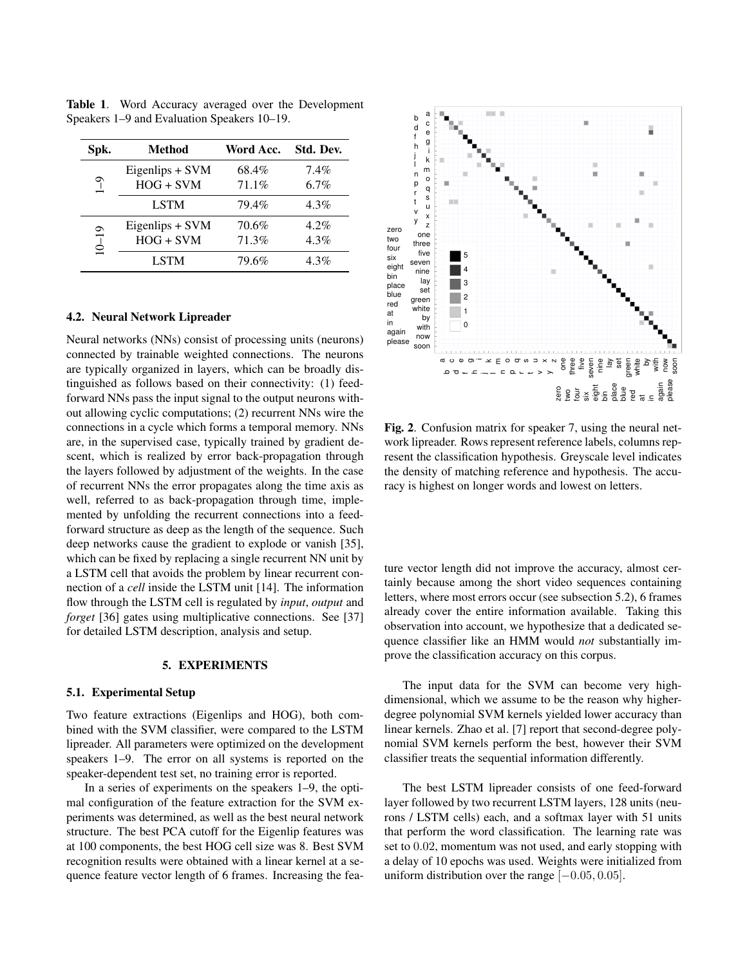| Spk.      | <b>Method</b>                  | Word Acc.      | Std. Dev.          |
|-----------|--------------------------------|----------------|--------------------|
| రా        | Eigenlips + SVM<br>$HOG + SVM$ | 68.4%<br>71.1% | $7.4\%$<br>$6.7\%$ |
|           | <b>LSTM</b>                    | 79.4%          | $4.3\%$            |
| $10 - 19$ | Eigenlips + SVM<br>$HOG + SVM$ | 70.6%<br>71.3% | $4.2\%$<br>4.3%    |
|           | <b>LSTM</b>                    | 79.6%          | $4.3\%$            |

<span id="page-2-1"></span>Table 1. Word Accuracy averaged over the Development Speakers 1–9 and Evaluation Speakers 10–19.

#### <span id="page-2-0"></span>4.2. Neural Network Lipreader

Neural networks (NNs) consist of processing units (neurons) connected by trainable weighted connections. The neurons are typically organized in layers, which can be broadly distinguished as follows based on their connectivity: (1) feedforward NNs pass the input signal to the output neurons without allowing cyclic computations; (2) recurrent NNs wire the connections in a cycle which forms a temporal memory. NNs are, in the supervised case, typically trained by gradient descent, which is realized by error back-propagation through the layers followed by adjustment of the weights. In the case of recurrent NNs the error propagates along the time axis as well, referred to as back-propagation through time, implemented by unfolding the recurrent connections into a feedforward structure as deep as the length of the sequence. Such deep networks cause the gradient to explode or vanish [\[35\]](#page-4-19), which can be fixed by replacing a single recurrent NN unit by a LSTM cell that avoids the problem by linear recurrent connection of a *cell* inside the LSTM unit [\[14\]](#page-4-1). The information flow through the LSTM cell is regulated by *input*, *output* and *forget* [\[36\]](#page-4-20) gates using multiplicative connections. See [\[37\]](#page-4-21) for detailed LSTM description, analysis and setup.

## 5. EXPERIMENTS

#### 5.1. Experimental Setup

Two feature extractions (Eigenlips and HOG), both combined with the SVM classifier, were compared to the LSTM lipreader. All parameters were optimized on the development speakers 1–9. The error on all systems is reported on the speaker-dependent test set, no training error is reported.

In a series of experiments on the speakers 1–9, the optimal configuration of the feature extraction for the SVM experiments was determined, as well as the best neural network structure. The best PCA cutoff for the Eigenlip features was at 100 components, the best HOG cell size was 8. Best SVM recognition results were obtained with a linear kernel at a sequence feature vector length of 6 frames. Increasing the fea-



<span id="page-2-2"></span>Fig. 2. Confusion matrix for speaker 7, using the neural network lipreader. Rows represent reference labels, columns represent the classification hypothesis. Greyscale level indicates the density of matching reference and hypothesis. The accuracy is highest on longer words and lowest on letters.

ture vector length did not improve the accuracy, almost certainly because among the short video sequences containing letters, where most errors occur (see [subsection 5.2\)](#page-3-12), 6 frames already cover the entire information available. Taking this observation into account, we hypothesize that a dedicated sequence classifier like an HMM would *not* substantially improve the classification accuracy on this corpus.

The input data for the SVM can become very highdimensional, which we assume to be the reason why higherdegree polynomial SVM kernels yielded lower accuracy than linear kernels. Zhao et al. [\[7\]](#page-3-6) report that second-degree polynomial SVM kernels perform the best, however their SVM classifier treats the sequential information differently.

The best LSTM lipreader consists of one feed-forward layer followed by two recurrent LSTM layers, 128 units (neurons / LSTM cells) each, and a softmax layer with 51 units that perform the word classification. The learning rate was set to 0.02, momentum was not used, and early stopping with a delay of 10 epochs was used. Weights were initialized from uniform distribution over the range  $[-0.05, 0.05]$ .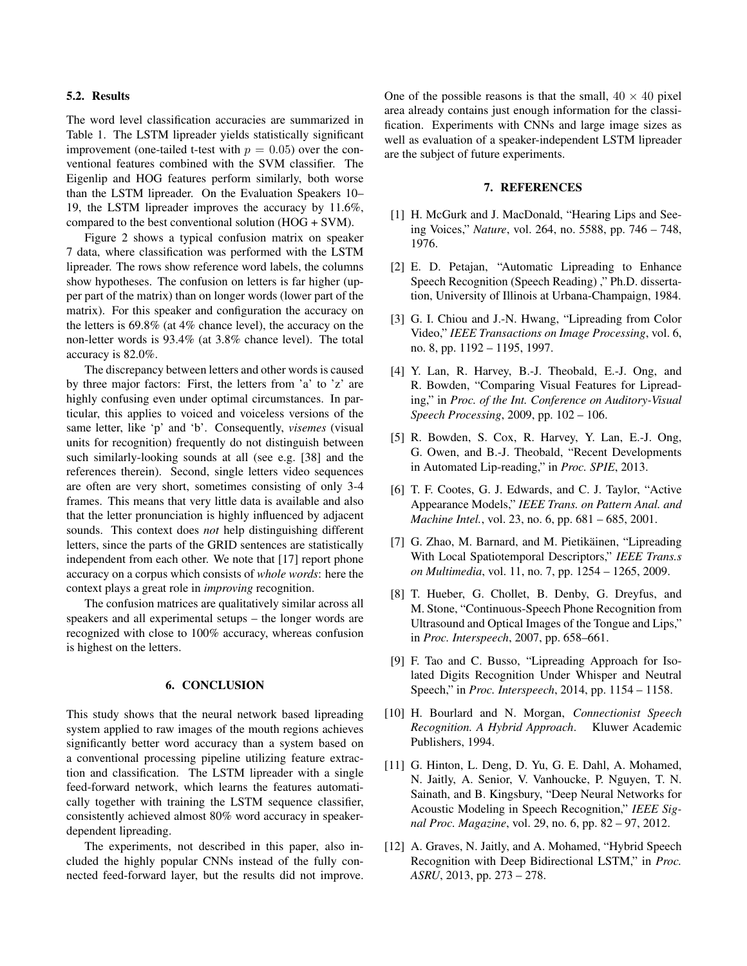## <span id="page-3-12"></span>5.2. Results

The word level classification accuracies are summarized in [Table 1.](#page-2-1) The LSTM lipreader yields statistically significant improvement (one-tailed t-test with  $p = 0.05$ ) over the conventional features combined with the SVM classifier. The Eigenlip and HOG features perform similarly, both worse than the LSTM lipreader. On the Evaluation Speakers 10– 19, the LSTM lipreader improves the accuracy by 11.6%, compared to the best conventional solution (HOG + SVM).

[Figure 2](#page-2-2) shows a typical confusion matrix on speaker 7 data, where classification was performed with the LSTM lipreader. The rows show reference word labels, the columns show hypotheses. The confusion on letters is far higher (upper part of the matrix) than on longer words (lower part of the matrix). For this speaker and configuration the accuracy on the letters is 69.8% (at 4% chance level), the accuracy on the non-letter words is 93.4% (at 3.8% chance level). The total accuracy is 82.0%.

The discrepancy between letters and other words is caused by three major factors: First, the letters from 'a' to 'z' are highly confusing even under optimal circumstances. In particular, this applies to voiced and voiceless versions of the same letter, like 'p' and 'b'. Consequently, *visemes* (visual units for recognition) frequently do not distinguish between such similarly-looking sounds at all (see e.g. [\[38\]](#page-4-22) and the references therein). Second, single letters video sequences are often are very short, sometimes consisting of only 3-4 frames. This means that very little data is available and also that the letter pronunciation is highly influenced by adjacent sounds. This context does *not* help distinguishing different letters, since the parts of the GRID sentences are statistically independent from each other. We note that [\[17\]](#page-4-4) report phone accuracy on a corpus which consists of *whole words*: here the context plays a great role in *improving* recognition.

The confusion matrices are qualitatively similar across all speakers and all experimental setups – the longer words are recognized with close to 100% accuracy, whereas confusion is highest on the letters.

## 6. CONCLUSION

This study shows that the neural network based lipreading system applied to raw images of the mouth regions achieves significantly better word accuracy than a system based on a conventional processing pipeline utilizing feature extraction and classification. The LSTM lipreader with a single feed-forward network, which learns the features automatically together with training the LSTM sequence classifier, consistently achieved almost 80% word accuracy in speakerdependent lipreading.

The experiments, not described in this paper, also included the highly popular CNNs instead of the fully connected feed-forward layer, but the results did not improve. One of the possible reasons is that the small,  $40 \times 40$  pixel area already contains just enough information for the classification. Experiments with CNNs and large image sizes as well as evaluation of a speaker-independent LSTM lipreader are the subject of future experiments.

#### 7. REFERENCES

- <span id="page-3-0"></span>[1] H. McGurk and J. MacDonald, "Hearing Lips and Seeing Voices," *Nature*, vol. 264, no. 5588, pp. 746 – 748, 1976.
- <span id="page-3-1"></span>[2] E. D. Petajan, "Automatic Lipreading to Enhance Speech Recognition (Speech Reading) ," Ph.D. dissertation, University of Illinois at Urbana-Champaign, 1984.
- <span id="page-3-2"></span>[3] G. I. Chiou and J.-N. Hwang, "Lipreading from Color Video," *IEEE Transactions on Image Processing*, vol. 6, no. 8, pp. 1192 – 1195, 1997.
- <span id="page-3-3"></span>[4] Y. Lan, R. Harvey, B.-J. Theobald, E.-J. Ong, and R. Bowden, "Comparing Visual Features for Lipreading," in *Proc. of the Int. Conference on Auditory-Visual Speech Processing*, 2009, pp. 102 – 106.
- <span id="page-3-4"></span>[5] R. Bowden, S. Cox, R. Harvey, Y. Lan, E.-J. Ong, G. Owen, and B.-J. Theobald, "Recent Developments in Automated Lip-reading," in *Proc. SPIE*, 2013.
- <span id="page-3-5"></span>[6] T. F. Cootes, G. J. Edwards, and C. J. Taylor, "Active Appearance Models," *IEEE Trans. on Pattern Anal. and Machine Intel.*, vol. 23, no. 6, pp. 681 – 685, 2001.
- <span id="page-3-6"></span>[7] G. Zhao, M. Barnard, and M. Pietikäinen, "Lipreading With Local Spatiotemporal Descriptors," *IEEE Trans.s on Multimedia*, vol. 11, no. 7, pp. 1254 – 1265, 2009.
- <span id="page-3-7"></span>[8] T. Hueber, G. Chollet, B. Denby, G. Dreyfus, and M. Stone, "Continuous-Speech Phone Recognition from Ultrasound and Optical Images of the Tongue and Lips," in *Proc. Interspeech*, 2007, pp. 658–661.
- <span id="page-3-8"></span>[9] F. Tao and C. Busso, "Lipreading Approach for Isolated Digits Recognition Under Whisper and Neutral Speech," in *Proc. Interspeech*, 2014, pp. 1154 – 1158.
- <span id="page-3-9"></span>[10] H. Bourlard and N. Morgan, *Connectionist Speech Recognition. A Hybrid Approach*. Kluwer Academic Publishers, 1994.
- <span id="page-3-11"></span>[11] G. Hinton, L. Deng, D. Yu, G. E. Dahl, A. Mohamed, N. Jaitly, A. Senior, V. Vanhoucke, P. Nguyen, T. N. Sainath, and B. Kingsbury, "Deep Neural Networks for Acoustic Modeling in Speech Recognition," *IEEE Signal Proc. Magazine*, vol. 29, no. 6, pp. 82 – 97, 2012.
- <span id="page-3-10"></span>[12] A. Graves, N. Jaitly, and A. Mohamed, "Hybrid Speech" Recognition with Deep Bidirectional LSTM," in *Proc. ASRU*, 2013, pp. 273 – 278.